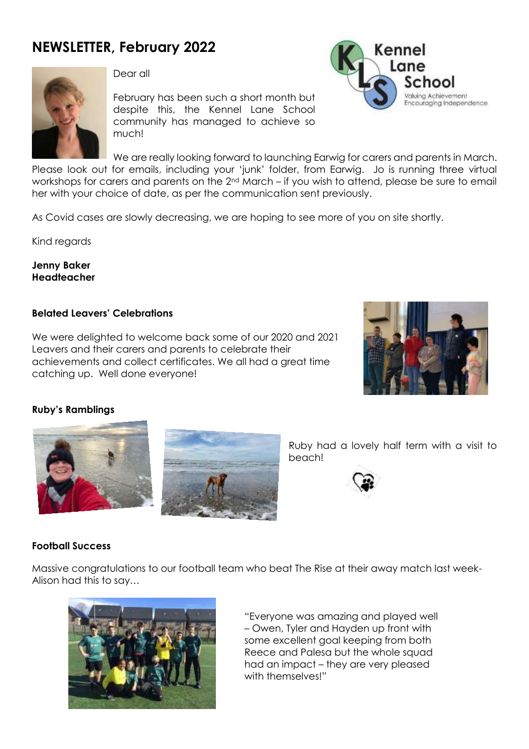# **NEWSLETTER, February 2022**



Dear all

February has been such a short month but despite this, the Kennel Lane School community has managed to achieve so much!



We are really looking forward to launching Earwig for carers and parents in March. Please look out for emails, including your 'junk' folder, from Earwig. Jo is running three virtual workshops for carers and parents on the 2nd March – if you wish to attend, please be sure to email her with your choice of date, as per the communication sent previously.

As Covid cases are slowly decreasing, we are hoping to see more of you on site shortly.

Kind regards

**Jenny Baker Headteacher**

### **Belated Leavers' Celebrations**

We were delighted to welcome back some of our 2020 and 2021 Leavers and their carers and parents to celebrate their achievements and collect certificates. We all had a great time catching up. Well done everyone!



### **Ruby's Ramblings**





Ruby had a lovely half term with a visit to beach!



### **Football Success**

Massive congratulations to our football team who beat The Rise at their away match last week-Alison had this to say…



"Everyone was amazing and played well – Owen, Tyler and Hayden up front with some excellent goal keeping from both Reece and Palesa but the whole squad had an impact – they are very pleased with themselves!"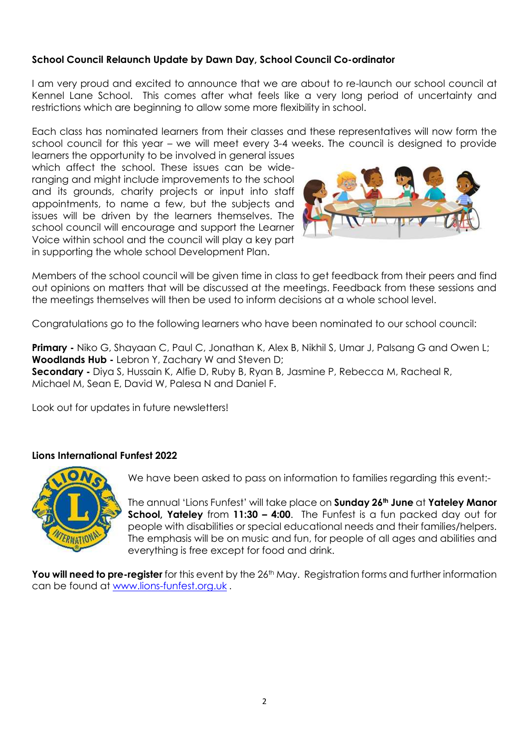## **School Council Relaunch Update by Dawn Day, School Council Co-ordinator**

I am very proud and excited to announce that we are about to re-launch our school council at Kennel Lane School. This comes after what feels like a very long period of uncertainty and restrictions which are beginning to allow some more flexibility in school.

Each class has nominated learners from their classes and these representatives will now form the school council for this year – we will meet every 3-4 weeks. The council is designed to provide

learners the opportunity to be involved in general issues which affect the school. These issues can be wideranging and might include improvements to the school and its grounds, charity projects or input into staff appointments, to name a few, but the subjects and issues will be driven by the learners themselves. The school council will encourage and support the Learner Voice within school and the council will play a key part in supporting the whole school Development Plan.



Members of the school council will be given time in class to get feedback from their peers and find out opinions on matters that will be discussed at the meetings. Feedback from these sessions and the meetings themselves will then be used to inform decisions at a whole school level.

Congratulations go to the following learners who have been nominated to our school council:

**Primary -** Niko G, Shayaan C, Paul C, Jonathan K, Alex B, Nikhil S, Umar J, Palsang G and Owen L; **Woodlands Hub -** Lebron Y, Zachary W and Steven D; **Secondary -** Diya S, Hussain K, Alfie D, Ruby B, Ryan B, Jasmine P, Rebecca M, Racheal R, Michael M, Sean E, David W, Palesa N and Daniel F.

Look out for updates in future newsletters!

### **Lions International Funfest 2022**



We have been asked to pass on information to families regarding this event:-

The annual 'Lions Funfest' will take place on **Sunday 26th June** at **Yateley Manor School, Yateley** from **11:30 – 4:00**. The Funfest is a fun packed day out for people with disabilities or special educational needs and their families/helpers. The emphasis will be on music and fun, for people of all ages and abilities and everything is free except for food and drink.

You will need to pre-register for this event by the 26<sup>th</sup> May. Registration forms and further information can be found at [www.lions-funfest.org.uk](http://www.lions-funfest.org.uk/) .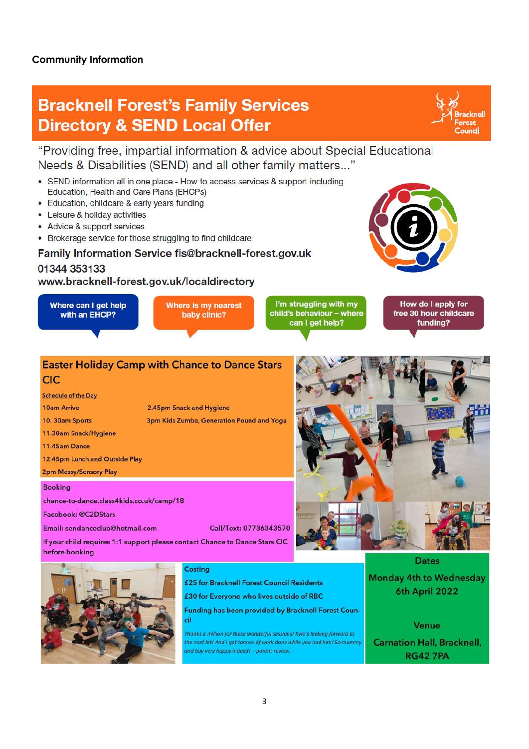### **Community Information**

# **Bracknell Forest's Family Services Directory & SEND Local Offer**

"Providing free, impartial information & advice about Special Educational Needs & Disabilities (SEND) and all other family matters..."

- Education, Health and Care Plans (EHCPs)
- 
- 
- 

### 01344 353133

### www.bracknell-forest.gov.uk/localdirectory



### **Easter Holiday Camp with Chance to Dance Stars** CIC

| <b>Schedule of the Day</b>     |                                         |
|--------------------------------|-----------------------------------------|
| <b>10am Arrive</b>             | 2.45pm Snack and Hygiene                |
| 10. 30am Sports                | <b>3pm Kids Zumba, Generation Pound</b> |
| 11.30am Snack/Hygiene          |                                         |
| 11.45am Dance                  |                                         |
| 12.45pm Lunch and Outside Play |                                         |
|                                |                                         |

2pm Messy/Sensory Play

### **Booking**

chance-to-dance.class4kids.co.uk/camp/18

Facebook: @C2DStars

Email: sendanceclub@hotmail.com

Call/Text: 07736343570

If your child requires 1:1 support please contact Chance to Dance Stars CIC before booking



### Costing

£25 for Bracknell Forest Council Residents

£30 for Everyone who lives outside of RBC

Funding has been provided by Bracknell Forest Council

and Yoga

Thanks a million for these wonderful sessions! Kyle's looking forward to the next lot! And I got tonnes of work done while you had him! So mummy and boy very happy indeed! - parent review.

**Dates Monday 4th to Wednesday** 

racknell

rest Council

6th April 2022

Venue **Carnation Hall, Bracknell, RG427PA** 

• SEND information all in one place - How to access services & support including • Education, childcare & early years funding

- Leisure & holiday activities
- Advice & support services
- Brokerage service for those struggling to find childcare

## Family Information Service fis@bracknell-forest.gov.uk